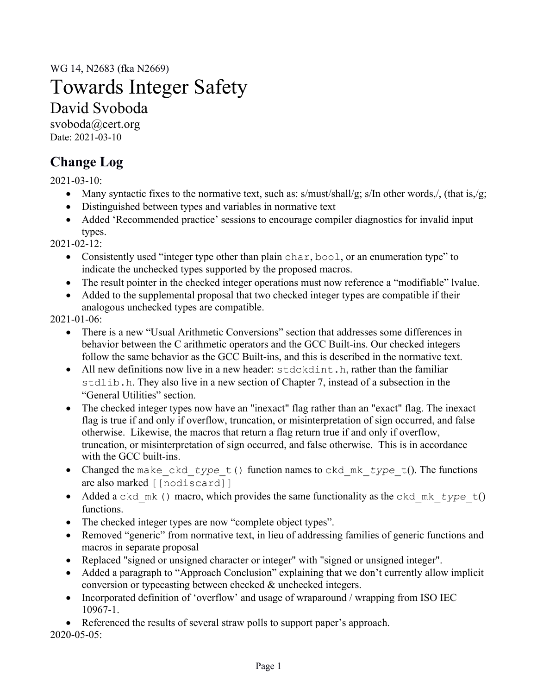WG 14, N2683 (fka N2669)

# Towards Integer Safety

# David Svoboda

svoboda@cert.org Date: 2021-03-10

# **Change Log**

2021-03-10:

- Many syntactic fixes to the normative text, such as:  $s/must/shall/g$ ;  $s/In$  other words,/, (that is,/g;
- Distinguished between types and variables in normative text
- Added 'Recommended practice' sessions to encourage compiler diagnostics for invalid input types.

 $2021 - 02 - 12$ :

- Consistently used "integer type other than plain char, bool, or an enumeration type" to indicate the unchecked types supported by the proposed macros.
- The result pointer in the checked integer operations must now reference a "modifiable" lvalue.
- Added to the supplemental proposal that two checked integer types are compatible if their analogous unchecked types are compatible.

2021-01-06:

- There is a new "Usual Arithmetic Conversions" section that addresses some differences in behavior between the C arithmetic operators and the GCC Built-ins. Our checked integers follow the same behavior as the GCC Built-ins, and this is described in the normative text.
- All new definitions now live in a new header:  $stacked{c}$   $stacked{c}$ ,  $h$ , rather than the familiar stdlib.h. They also live in a new section of Chapter 7, instead of a subsection in the "General Utilities" section.
- The checked integer types now have an "inexact" flag rather than an "exact" flag. The inexact flag is true if and only if overflow, truncation, or misinterpretation of sign occurred, and false otherwise. Likewise, the macros that return a flag return true if and only if overflow, truncation, or misinterpretation of sign occurred, and false otherwise. This is in accordance with the GCC built-ins.
- Changed the make\_ckd\_*type*\_t() function names to ckd\_mk\_*type*\_t(). The functions are also marked [[nodiscard]]
- Added a ckd\_mk () macro, which provides the same functionality as the ckd\_mk\_type t() functions.
- The checked integer types are now "complete object types".
- Removed "generic" from normative text, in lieu of addressing families of generic functions and macros in separate proposal
- Replaced "signed or unsigned character or integer" with "signed or unsigned integer".
- Added a paragraph to "Approach Conclusion" explaining that we don't currently allow implicit conversion or typecasting between checked & unchecked integers.
- Incorporated definition of 'overflow' and usage of wraparound / wrapping from ISO IEC 10967-1.
- Referenced the results of several straw polls to support paper's approach.

2020-05-05: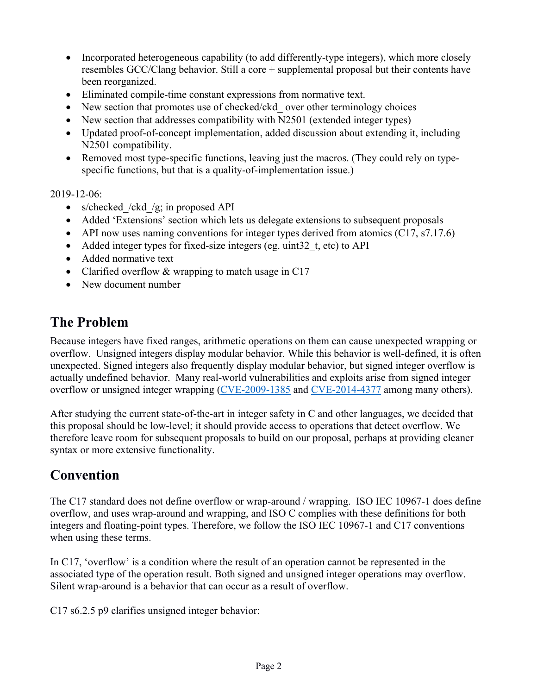- Incorporated heterogeneous capability (to add differently-type integers), which more closely resembles GCC/Clang behavior. Still a core + supplemental proposal but their contents have been reorganized.
- Eliminated compile-time constant expressions from normative text.
- New section that promotes use of checked/ckd over other terminology choices
- New section that addresses compatibility with N2501 (extended integer types)
- Updated proof-of-concept implementation, added discussion about extending it, including N2501 compatibility.
- Removed most type-specific functions, leaving just the macros. (They could rely on typespecific functions, but that is a quality-of-implementation issue.)

2019-12-06:

- s/checked /ckd /g; in proposed API
- Added 'Extensions' section which lets us delegate extensions to subsequent proposals
- API now uses naming conventions for integer types derived from atomics  $(C17, s7.17.6)$
- Added integer types for fixed-size integers (eg. uint32 t, etc) to API
- Added normative text
- Clarified overflow & wrapping to match usage in C17
- New document number

# **The Problem**

Because integers have fixed ranges, arithmetic operations on them can cause unexpected wrapping or overflow. Unsigned integers display modular behavior. While this behavior is well-defined, it is often unexpected. Signed integers also frequently display modular behavior, but signed integer overflow is actually undefined behavior. Many real-world vulnerabilities and exploits arise from signed integer overflow or unsigned integer wrapping (CVE-2009-1385 and CVE-2014-4377 among many others).

After studying the current state-of-the-art in integer safety in C and other languages, we decided that this proposal should be low-level; it should provide access to operations that detect overflow. We therefore leave room for subsequent proposals to build on our proposal, perhaps at providing cleaner syntax or more extensive functionality.

# **Convention**

The C17 standard does not define overflow or wrap-around / wrapping. ISO IEC 10967-1 does define overflow, and uses wrap-around and wrapping, and ISO C complies with these definitions for both integers and floating-point types. Therefore, we follow the ISO IEC 10967-1 and C17 conventions when using these terms.

In C17, 'overflow' is a condition where the result of an operation cannot be represented in the associated type of the operation result. Both signed and unsigned integer operations may overflow. Silent wrap-around is a behavior that can occur as a result of overflow.

C17 s6.2.5 p9 clarifies unsigned integer behavior: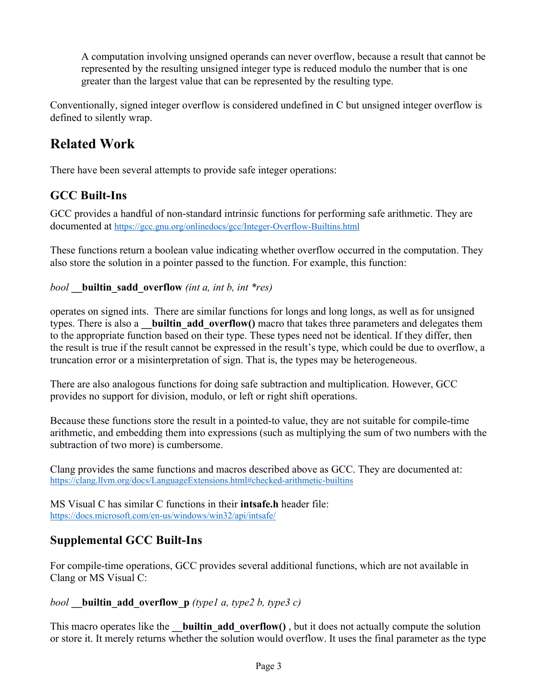A computation involving unsigned operands can never overflow, because a result that cannot be represented by the resulting unsigned integer type is reduced modulo the number that is one greater than the largest value that can be represented by the resulting type.

Conventionally, signed integer overflow is considered undefined in C but unsigned integer overflow is defined to silently wrap.

# **Related Work**

There have been several attempts to provide safe integer operations:

# **GCC Built-Ins**

GCC provides a handful of non-standard intrinsic functions for performing safe arithmetic. They are documented at https://gcc.gnu.org/onlinedocs/gcc/Integer-Overflow-Builtins.html

These functions return a boolean value indicating whether overflow occurred in the computation. They also store the solution in a pointer passed to the function. For example, this function:

*bool* **\_\_builtin\_sadd\_overflow** *(int a, int b, int \*res)*

operates on signed ints. There are similar functions for longs and long longs, as well as for unsigned types. There is also a **builtin add overflow()** macro that takes three parameters and delegates them to the appropriate function based on their type. These types need not be identical. If they differ, then the result is true if the result cannot be expressed in the result's type, which could be due to overflow, a truncation error or a misinterpretation of sign. That is, the types may be heterogeneous.

There are also analogous functions for doing safe subtraction and multiplication. However, GCC provides no support for division, modulo, or left or right shift operations.

Because these functions store the result in a pointed-to value, they are not suitable for compile-time arithmetic, and embedding them into expressions (such as multiplying the sum of two numbers with the subtraction of two more) is cumbersome.

Clang provides the same functions and macros described above as GCC. They are documented at: https://clang.llvm.org/docs/LanguageExtensions.html#checked-arithmetic-builtins

MS Visual C has similar C functions in their **intsafe.h** header file: https://docs.microsoft.com/en-us/windows/win32/api/intsafe/

### **Supplemental GCC Built-Ins**

For compile-time operations, GCC provides several additional functions, which are not available in Clang or MS Visual C:

#### *bool* **builtin** add overflow **p** *(type1 a, type2 b, type3 c)*

This macro operates like the **builtin add overflow()**, but it does not actually compute the solution or store it. It merely returns whether the solution would overflow. It uses the final parameter as the type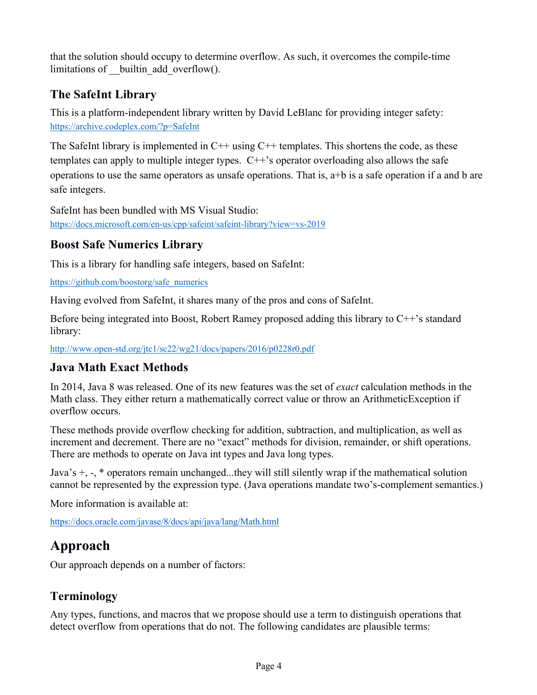that the solution should occupy to determine overflow. As such, it overcomes the compile-time limitations of \_\_builtin\_add\_overflow().

### **The SafeInt Library**

This is a platform-independent library written by David LeBlanc for providing integer safety: https://archive.codeplex.com/?p=SafeInt

The SafeInt library is implemented in  $C++$  using  $C++$  templates. This shortens the code, as these templates can apply to multiple integer types.  $C++$ 's operator overloading also allows the safe operations to use the same operators as unsafe operations. That is, a+b is a safe operation if a and b are safe integers.

SafeInt has been bundled with MS Visual Studio: https://docs.microsoft.com/en-us/cpp/safeint/safeint-library?view=vs-2019

#### **Boost Safe Numerics Library**

This is a library for handling safe integers, based on SafeInt:

https://github.com/boostorg/safe\_numerics

Having evolved from SafeInt, it shares many of the pros and cons of SafeInt.

Before being integrated into Boost, Robert Ramey proposed adding this library to C++'s standard library:

http://www.open-std.org/jtc1/sc22/wg21/docs/papers/2016/p0228r0.pdf

#### **Java Math Exact Methods**

In 2014, Java 8 was released. One of its new features was the set of *exact* calculation methods in the Math class. They either return a mathematically correct value or throw an ArithmeticException if overflow occurs.

These methods provide overflow checking for addition, subtraction, and multiplication, as well as increment and decrement. There are no "exact" methods for division, remainder, or shift operations. There are methods to operate on Java int types and Java long types.

Java's +, -, \* operators remain unchanged...they will still silently wrap if the mathematical solution cannot be represented by the expression type. (Java operations mandate two's-complement semantics.)

More information is available at:

https://docs.oracle.com/javase/8/docs/api/java/lang/Math.html

# **Approach**

Our approach depends on a number of factors:

### **Terminology**

Any types, functions, and macros that we propose should use a term to distinguish operations that detect overflow from operations that do not. The following candidates are plausible terms: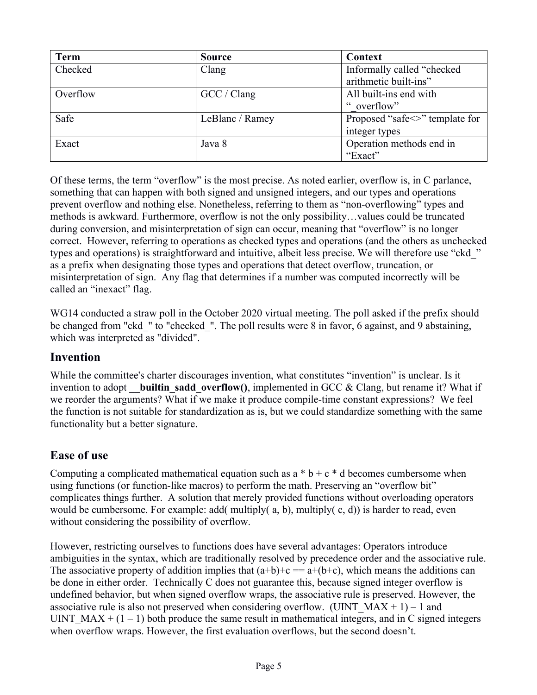| <b>Term</b> | <b>Source</b>   | Context                              |
|-------------|-----------------|--------------------------------------|
| Checked     | Clang           | Informally called "checked"          |
|             |                 | arithmetic built-ins"                |
| Overflow    | GCC / Clang     | All built-ins end with               |
|             |                 | " overflow"                          |
| Safe        | LeBlanc / Ramey | Proposed "safe $\leq$ " template for |
|             |                 | integer types                        |
| Exact       | Java 8          | Operation methods end in             |
|             |                 | "Exact"                              |

Of these terms, the term "overflow" is the most precise. As noted earlier, overflow is, in C parlance, something that can happen with both signed and unsigned integers, and our types and operations prevent overflow and nothing else. Nonetheless, referring to them as "non-overflowing" types and methods is awkward. Furthermore, overflow is not the only possibility…values could be truncated during conversion, and misinterpretation of sign can occur, meaning that "overflow" is no longer correct. However, referring to operations as checked types and operations (and the others as unchecked types and operations) is straightforward and intuitive, albeit less precise. We will therefore use "ckd\_" as a prefix when designating those types and operations that detect overflow, truncation, or misinterpretation of sign. Any flag that determines if a number was computed incorrectly will be called an "inexact" flag.

WG14 conducted a straw poll in the October 2020 virtual meeting. The poll asked if the prefix should be changed from "ckd\_" to "checked\_". The poll results were 8 in favor, 6 against, and 9 abstaining, which was interpreted as "divided".

#### **Invention**

While the committee's charter discourages invention, what constitutes "invention" is unclear. Is it invention to adopt **builtin sadd overflow()**, implemented in GCC & Clang, but rename it? What if we reorder the arguments? What if we make it produce compile-time constant expressions? We feel the function is not suitable for standardization as is, but we could standardize something with the same functionality but a better signature.

### **Ease of use**

Computing a complicated mathematical equation such as  $a * b + c * d$  becomes cumbersome when using functions (or function-like macros) to perform the math. Preserving an "overflow bit" complicates things further. A solution that merely provided functions without overloading operators would be cumbersome. For example: add( multiply(  $a, b$ ), multiply(  $c, d$ )) is harder to read, even without considering the possibility of overflow.

However, restricting ourselves to functions does have several advantages: Operators introduce ambiguities in the syntax, which are traditionally resolved by precedence order and the associative rule. The associative property of addition implies that  $(a+b)+c == a+(b+c)$ , which means the additions can be done in either order. Technically C does not guarantee this, because signed integer overflow is undefined behavior, but when signed overflow wraps, the associative rule is preserved. However, the associative rule is also not preserved when considering overflow. (UINT\_MAX + 1) – 1 and UINT  $MAX + (1 - 1)$  both produce the same result in mathematical integers, and in C signed integers when overflow wraps. However, the first evaluation overflows, but the second doesn't.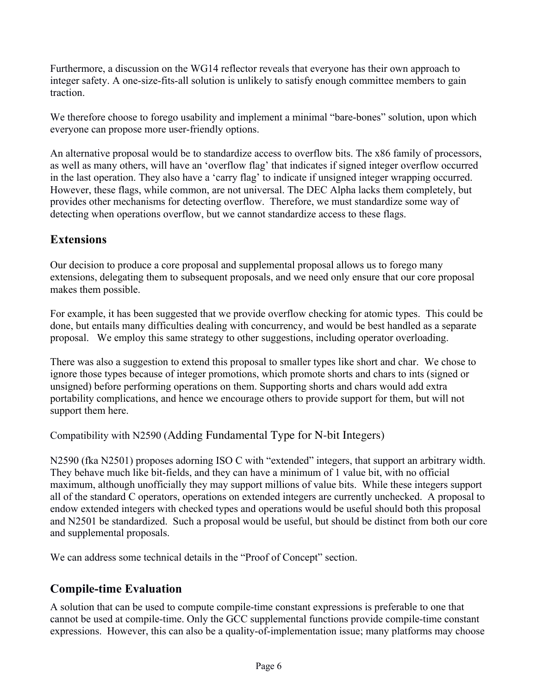Furthermore, a discussion on the WG14 reflector reveals that everyone has their own approach to integer safety. A one-size-fits-all solution is unlikely to satisfy enough committee members to gain traction.

We therefore choose to forego usability and implement a minimal "bare-bones" solution, upon which everyone can propose more user-friendly options.

An alternative proposal would be to standardize access to overflow bits. The x86 family of processors, as well as many others, will have an 'overflow flag' that indicates if signed integer overflow occurred in the last operation. They also have a 'carry flag' to indicate if unsigned integer wrapping occurred. However, these flags, while common, are not universal. The DEC Alpha lacks them completely, but provides other mechanisms for detecting overflow. Therefore, we must standardize some way of detecting when operations overflow, but we cannot standardize access to these flags.

### **Extensions**

Our decision to produce a core proposal and supplemental proposal allows us to forego many extensions, delegating them to subsequent proposals, and we need only ensure that our core proposal makes them possible.

For example, it has been suggested that we provide overflow checking for atomic types. This could be done, but entails many difficulties dealing with concurrency, and would be best handled as a separate proposal. We employ this same strategy to other suggestions, including operator overloading.

There was also a suggestion to extend this proposal to smaller types like short and char. We chose to ignore those types because of integer promotions, which promote shorts and chars to ints (signed or unsigned) before performing operations on them. Supporting shorts and chars would add extra portability complications, and hence we encourage others to provide support for them, but will not support them here.

Compatibility with N2590 (Adding Fundamental Type for N-bit Integers)

N2590 (fka N2501) proposes adorning ISO C with "extended" integers, that support an arbitrary width. They behave much like bit-fields, and they can have a minimum of 1 value bit, with no official maximum, although unofficially they may support millions of value bits. While these integers support all of the standard C operators, operations on extended integers are currently unchecked. A proposal to endow extended integers with checked types and operations would be useful should both this proposal and N2501 be standardized. Such a proposal would be useful, but should be distinct from both our core and supplemental proposals.

We can address some technical details in the "Proof of Concept" section.

### **Compile-time Evaluation**

A solution that can be used to compute compile-time constant expressions is preferable to one that cannot be used at compile-time. Only the GCC supplemental functions provide compile-time constant expressions. However, this can also be a quality-of-implementation issue; many platforms may choose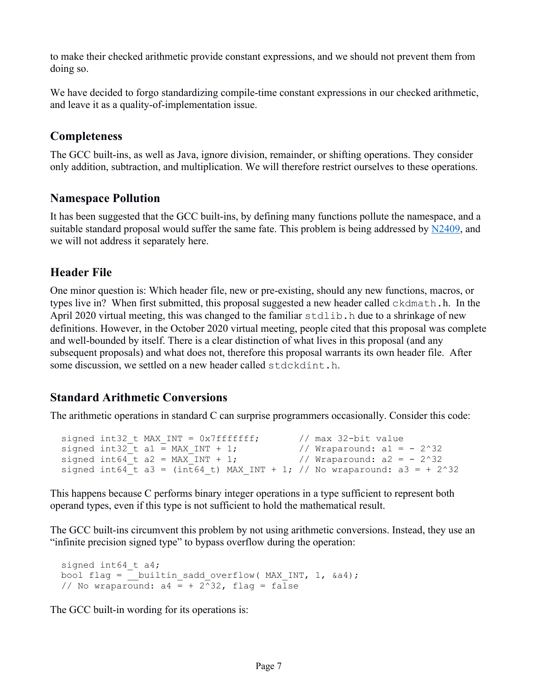to make their checked arithmetic provide constant expressions, and we should not prevent them from doing so.

We have decided to forgo standardizing compile-time constant expressions in our checked arithmetic, and leave it as a quality-of-implementation issue.

#### **Completeness**

The GCC built-ins, as well as Java, ignore division, remainder, or shifting operations. They consider only addition, subtraction, and multiplication. We will therefore restrict ourselves to these operations.

#### **Namespace Pollution**

It has been suggested that the GCC built-ins, by defining many functions pollute the namespace, and a suitable standard proposal would suffer the same fate. This problem is being addressed by N2409, and we will not address it separately here.

#### **Header File**

One minor question is: Which header file, new or pre-existing, should any new functions, macros, or types live in? When first submitted, this proposal suggested a new header called ckdmath.h. In the April 2020 virtual meeting, this was changed to the familiar stdlib. h due to a shrinkage of new definitions. However, in the October 2020 virtual meeting, people cited that this proposal was complete and well-bounded by itself. There is a clear distinction of what lives in this proposal (and any subsequent proposals) and what does not, therefore this proposal warrants its own header file. After some discussion, we settled on a new header called stdckdint.h.

#### **Standard Arithmetic Conversions**

The arithmetic operations in standard C can surprise programmers occasionally. Consider this code:

```
 signed int32_t MAX_INT = 0x7fffffff; // max 32-bit value
signed int32_t a1 = MAX_INT + 1; \prime // Wraparound: a1 = - 2^32
signed int64_t a2 = MAX_INT + 1; \prime // Wraparound: a2 = - 2^32
 signed int64 t a3 = (int64 t) MAX INT + 1; // No wraparound: a3 = + 2^32
```
This happens because C performs binary integer operations in a type sufficient to represent both operand types, even if this type is not sufficient to hold the mathematical result.

The GCC built-ins circumvent this problem by not using arithmetic conversions. Instead, they use an "infinite precision signed type" to bypass overflow during the operation:

```
 signed int64_t a4;
bool flag = __builtin sadd overflow( MAX INT, 1, \&a4);
// No wraparound: a4 = + 2^32, flag = false
```
The GCC built-in wording for its operations is: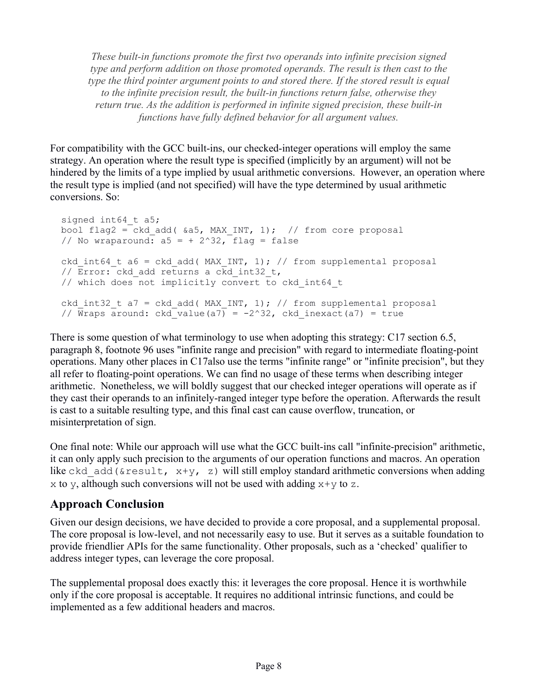*These built-in functions promote the first two operands into infinite precision signed type and perform addition on those promoted operands. The result is then cast to the type the third pointer argument points to and stored there. If the stored result is equal to the infinite precision result, the built-in functions return false, otherwise they return true. As the addition is performed in infinite signed precision, these built-in functions have fully defined behavior for all argument values.*

For compatibility with the GCC built-ins, our checked-integer operations will employ the same strategy. An operation where the result type is specified (implicitly by an argument) will not be hindered by the limits of a type implied by usual arithmetic conversions. However, an operation where the result type is implied (and not specified) will have the type determined by usual arithmetic conversions. So:

```
signed int64 t a5;
bool flag2 = ckd add( \&a5, MAX INT, 1); // from core proposal
// No wraparound: a5 = + 2^32, flag = false
ckd int64 t a6 = ckd add( MAX INT, 1); // from supplemental proposal
// \overline{Error:} ckd add returns a ckd int32 t,
 // which does not implicitly convert to ckd_int64_t
ckd int32 t a7 = ckd add( MAX INT, 1); // from supplemental proposal
// Wraps around: ckd<sup>-</sup>value(a7) = -2^32, ckd inexact(a7) = true
```
There is some question of what terminology to use when adopting this strategy: C17 section 6.5, paragraph 8, footnote 96 uses "infinite range and precision" with regard to intermediate floating-point operations. Many other places in C17also use the terms "infinite range" or "infinite precision", but they all refer to floating-point operations. We can find no usage of these terms when describing integer arithmetic. Nonetheless, we will boldly suggest that our checked integer operations will operate as if they cast their operands to an infinitely-ranged integer type before the operation. Afterwards the result is cast to a suitable resulting type, and this final cast can cause overflow, truncation, or misinterpretation of sign.

One final note: While our approach will use what the GCC built-ins call "infinite-precision" arithmetic, it can only apply such precision to the arguments of our operation functions and macros. An operation like ckd add(&result,  $x+y$ , z) will still employ standard arithmetic conversions when adding x to y, although such conversions will not be used with adding  $x+y$  to z.

#### **Approach Conclusion**

Given our design decisions, we have decided to provide a core proposal, and a supplemental proposal. The core proposal is low-level, and not necessarily easy to use. But it serves as a suitable foundation to provide friendlier APIs for the same functionality. Other proposals, such as a 'checked' qualifier to address integer types, can leverage the core proposal.

The supplemental proposal does exactly this: it leverages the core proposal. Hence it is worthwhile only if the core proposal is acceptable. It requires no additional intrinsic functions, and could be implemented as a few additional headers and macros.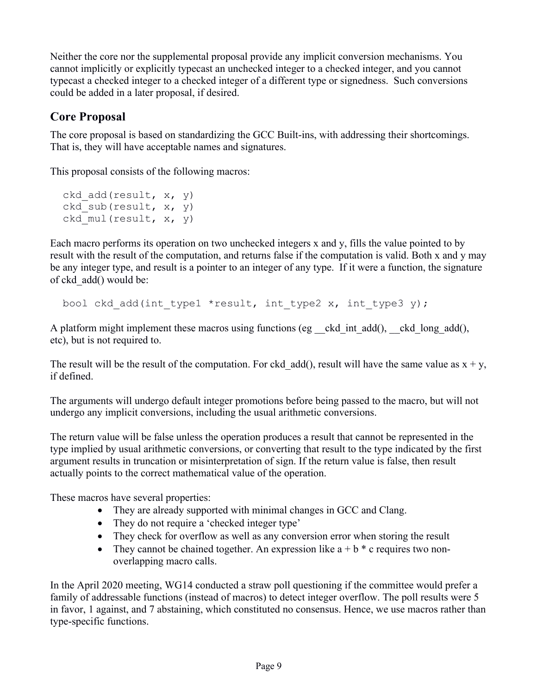Neither the core nor the supplemental proposal provide any implicit conversion mechanisms. You cannot implicitly or explicitly typecast an unchecked integer to a checked integer, and you cannot typecast a checked integer to a checked integer of a different type or signedness. Such conversions could be added in a later proposal, if desired.

### **Core Proposal**

The core proposal is based on standardizing the GCC Built-ins, with addressing their shortcomings. That is, they will have acceptable names and signatures.

This proposal consists of the following macros:

```
ckd add(result, x, y)
ckd sub(result, x, y)
ckd mul(result, x, y)
```
Each macro performs its operation on two unchecked integers x and y, fills the value pointed to by result with the result of the computation, and returns false if the computation is valid. Both x and y may be any integer type, and result is a pointer to an integer of any type. If it were a function, the signature of ckd\_add() would be:

bool ckd add(int type1 \*result, int type2 x, int type3 y);

A platform might implement these macros using functions (eg ckd int add(), ckd long add(), etc), but is not required to.

The result will be the result of the computation. For ckd add(), result will have the same value as  $x + y$ , if defined.

The arguments will undergo default integer promotions before being passed to the macro, but will not undergo any implicit conversions, including the usual arithmetic conversions.

The return value will be false unless the operation produces a result that cannot be represented in the type implied by usual arithmetic conversions, or converting that result to the type indicated by the first argument results in truncation or misinterpretation of sign. If the return value is false, then result actually points to the correct mathematical value of the operation.

These macros have several properties:

- They are already supported with minimal changes in GCC and Clang.
- They do not require a 'checked integer type'
- They check for overflow as well as any conversion error when storing the result
- They cannot be chained together. An expression like  $a + b * c$  requires two nonoverlapping macro calls.

In the April 2020 meeting, WG14 conducted a straw poll questioning if the committee would prefer a family of addressable functions (instead of macros) to detect integer overflow. The poll results were 5 in favor, 1 against, and 7 abstaining, which constituted no consensus. Hence, we use macros rather than type-specific functions.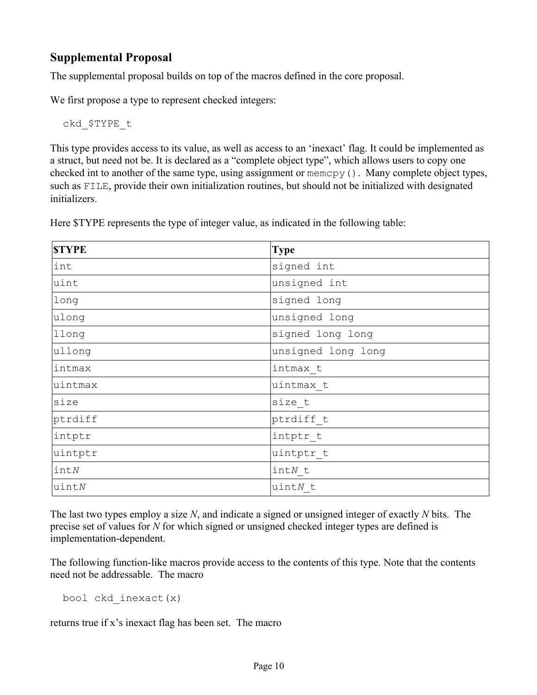### **Supplemental Proposal**

The supplemental proposal builds on top of the macros defined in the core proposal.

We first propose a type to represent checked integers:

ckd\_\$TYPE\_t

This type provides access to its value, as well as access to an 'inexact' flag. It could be implemented as a struct, but need not be. It is declared as a "complete object type", which allows users to copy one checked int to another of the same type, using assignment or memcpy(). Many complete object types, such as FILE, provide their own initialization routines, but should not be initialized with designated initializers.

| <b>STYPE</b> | <b>Type</b>        |
|--------------|--------------------|
| int          | signed int         |
| uint         | unsigned int       |
| long         | signed long        |
| ulong        | unsigned long      |
| llong        | signed long long   |
| ullong       | unsigned long long |
| intmax       | intmax t           |
| uintmax      | uintmax t          |
| size         | size t             |
| ptrdiff      | ptrdiff t          |
| intptr       | intptr t           |
| uintptr      | uintptr t          |
| in tN        | $in tN$ t          |
| uintN        | uintN t            |

Here \$TYPE represents the type of integer value, as indicated in the following table:

The last two types employ a size *N*, and indicate a signed or unsigned integer of exactly *N* bits. The precise set of values for *N* for which signed or unsigned checked integer types are defined is implementation-dependent.

The following function-like macros provide access to the contents of this type. Note that the contents need not be addressable. The macro

bool ckd\_inexact(x)

returns true if x's inexact flag has been set. The macro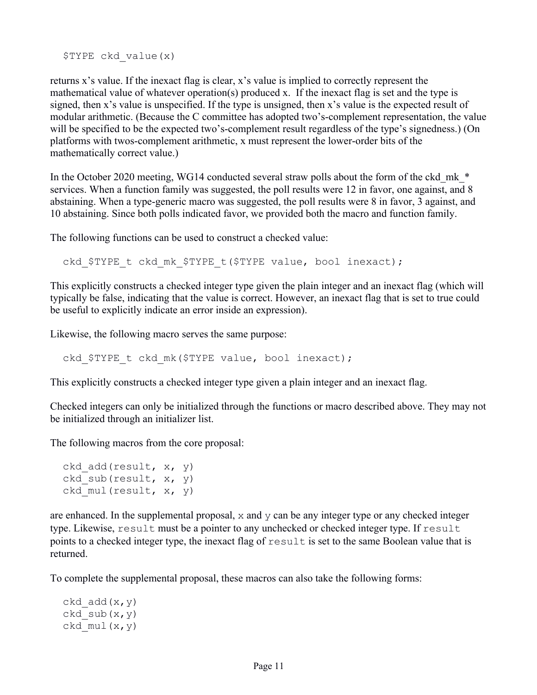\$TYPE ckd\_value(x)

returns x's value. If the inexact flag is clear, x's value is implied to correctly represent the mathematical value of whatever operation(s) produced x. If the inexact flag is set and the type is signed, then x's value is unspecified. If the type is unsigned, then x's value is the expected result of modular arithmetic. (Because the C committee has adopted two's-complement representation, the value will be specified to be the expected two's-complement result regardless of the type's signedness.) (On platforms with twos-complement arithmetic, x must represent the lower-order bits of the mathematically correct value.)

In the October 2020 meeting, WG14 conducted several straw polls about the form of the ckd\_mk \* services. When a function family was suggested, the poll results were 12 in favor, one against, and 8 abstaining. When a type-generic macro was suggested, the poll results were 8 in favor, 3 against, and 10 abstaining. Since both polls indicated favor, we provided both the macro and function family.

The following functions can be used to construct a checked value:

ckd \$TYPE t ckd mk \$TYPE t(\$TYPE value, bool inexact);

This explicitly constructs a checked integer type given the plain integer and an inexact flag (which will typically be false, indicating that the value is correct. However, an inexact flag that is set to true could be useful to explicitly indicate an error inside an expression).

Likewise, the following macro serves the same purpose:

ckd \$TYPE t ckd mk(\$TYPE value, bool inexact);

This explicitly constructs a checked integer type given a plain integer and an inexact flag.

Checked integers can only be initialized through the functions or macro described above. They may not be initialized through an initializer list.

The following macros from the core proposal:

```
ckd add(result, x, y)
ckd sub(result, x, y)
ckd mul(result, x, y)
```
are enhanced. In the supplemental proposal, x and y can be any integer type or any checked integer type. Likewise, result must be a pointer to any unchecked or checked integer type. If result points to a checked integer type, the inexact flag of result is set to the same Boolean value that is returned.

To complete the supplemental proposal, these macros can also take the following forms:

```
ckd add(x, y)ckd sub(x,y)ckd mul(x,y)
```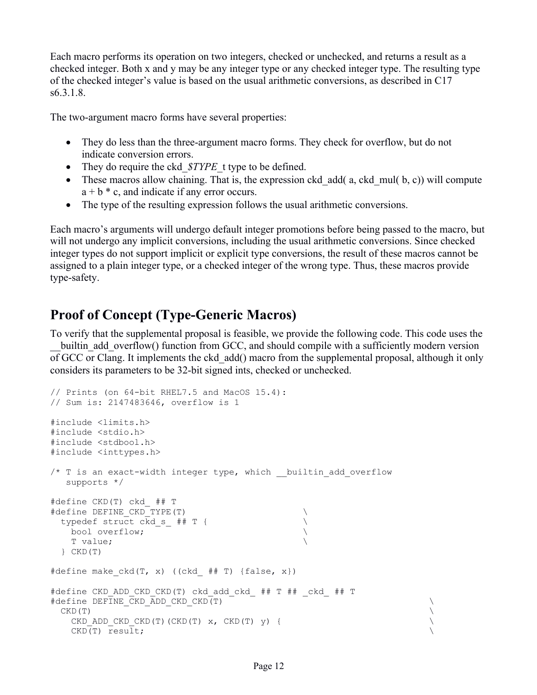Each macro performs its operation on two integers, checked or unchecked, and returns a result as a checked integer. Both x and y may be any integer type or any checked integer type. The resulting type of the checked integer's value is based on the usual arithmetic conversions, as described in C17 s6.3.1.8.

The two-argument macro forms have several properties:

- They do less than the three-argument macro forms. They check for overflow, but do not indicate conversion errors.
- They do require the ckd *\$TYPE* t type to be defined.
- These macros allow chaining. That is, the expression ckd add( a, ckd mul( b, c)) will compute  $a + b * c$ , and indicate if any error occurs.
- The type of the resulting expression follows the usual arithmetic conversions.

Each macro's arguments will undergo default integer promotions before being passed to the macro, but will not undergo any implicit conversions, including the usual arithmetic conversions. Since checked integer types do not support implicit or explicit type conversions, the result of these macros cannot be assigned to a plain integer type, or a checked integer of the wrong type. Thus, these macros provide type-safety.

# **Proof of Concept (Type-Generic Macros)**

To verify that the supplemental proposal is feasible, we provide the following code. This code uses the builtin add overflow() function from GCC, and should compile with a sufficiently modern version of GCC or Clang. It implements the ckd\_add() macro from the supplemental proposal, although it only considers its parameters to be 32-bit signed ints, checked or unchecked.

```
// Prints (on 64-bit RHEL7.5 and MacOS 15.4):
// Sum is: 2147483646, overflow is 1
#include <limits.h>
#include <stdio.h>
#include <stdbool.h>
#include <inttypes.h>
/* T is an exact-width integer type, which __ builtin add overflow
   supports */
#define CKD(T) ckd_ ## T
\# \text{define } DEFINE CKD TYPE(T)
 typedef struct ckd_s_ ## T { \qquad \qquad \qquad \ \qquad \qquad \ \qquad \qquad bool overflow; \
    T value; \
   } CKD(T)
#define make ckd(T, x) ((ckd ## T) {false, x})
#define CKD_ADD_CKD_CKD(T) ckd_add_ckd_ ## T ## _ckd_ ## T
#define DEFINE CKD ADD CKD CKD(T) \qquad\mathsf{CKD}\left( \mathbf{T}\right)CKD_ADD_CKD_CKD(T)(CKD(T) x, CKD(T) y) { \qquad \qquad \qquad CKD(T) result; \
```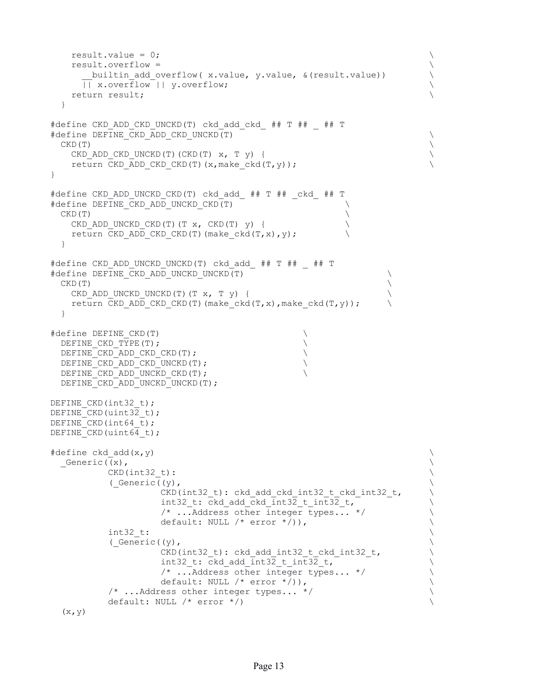```
result.value = 0; \longrightarrow result.overflow = \
      builtin add overflow( x.value, y.value, &(result.value)) \qquad \qquad \backslash || x.overflow || y.overflow; \
    return result; \
  }
#define CKD_ADD_CKD_UNCKD(T) ckd_add_ckd_ ## T ## _ ## T
#define DEFINE_CKD_ADD_CKD_UNCKD(T) \
\mathsf{CKD}\left( \mathbf{T}\right)CKD_ADD_CKD_UNCKD(T)(CKD(T) x, T y) { \qquad \qquad \qquadreturn CKD ADD CKD CKD(T)(x,make ckd(T,y));
}
#define CKD_ADD_UNCKD_CKD(T) ckd_add_ ## T ## _ckd_ ## T
#define DEFINE CKD ADD UNCKD CKD(T)
CKD(T)CKD ADD UNCKD CKD(T)(T x, CKD(T) y) { \qquad \qquad \backslashreturn CKD ADD CKD CKD(T)(make ckd(T,x), y);
  }
#define CKD_ADD_UNCKD_UNCKD(T) ckd_add_ ## T ## _ ## T
#define DEFINE CKD ADD UNCKD UNCKD(T) \qquad \qquad \backslash\mathsf{CKD}\left( \mathbf{T}\right)CKD ADD UNCKD UNCKD(T)(T x, T y) {
   return CKD ADD CKD CKD(T)(make ckd(T,x),make ckd(T,y));
  }
#define DEFINE_CKD(T)<br>DEFINE CKD TYPE(T);
 DEFINE_CKD_TYPE(T);<br>DEFINE_CKD_ADD_CKD_CKD(T); \
 DEFINE_CKD_ADD_CKD_CKD(T);<br>DEFINE_CKD_ADD_CKD_UNCKD(T); \
 DEFINE CKD ADD CKD UNCKD(T);
 DEFINE CKD ADD UNCKD CKD(T);
 DEFINE CKD ADD UNCKD UNCKD(T);
DEFINE CKD(int32 t);
DEFINE CKD (uint32 t);
DEFINE CKD(int64 t);
DEFINE_CKD(uint64_t);
\# \text{define ckd} add(x,y) \setminusGeneric((x),
          CKD(int32 t):( Generic (y),
                   CKD(int32_t): ckd_add_ckd_int32_t_ckd_int32_t, \setminus<br>int32 t: ckd add ckd int32 t int32 t, \setminusint32_t: ckd_add_ckd_int32_t_int32_t,<br>
\frac{1}{2}, ...Address other integer types... */
                   /* ...Address other integer types... */
                   default: NULL /* error * / ), \qquad \qquad \qquad \backslash\texttt{int32\_t:}(\text{Ceneric}((y), \text{CKD}(\text{int32}_t): \text{ckd}_a\text{dd}_i\text{int32}_t\text{ckd}_i\text{int32}_t, )CKD(int32_t): ckd_add_int32_t_ckd_int32_t,<br>int32 t: ckd add int32 t int32 t,
                   int32_t: ckd_add_int32_t_int32_t,<br>
/* ...Address other integer types... */
                   \frac{1}{2} ... Address other integer types... */
                   default: NULL /* error * )),
           /* ...Address other integer types... */ \
          default: NULL /* error */)
```

```
(x, y)
```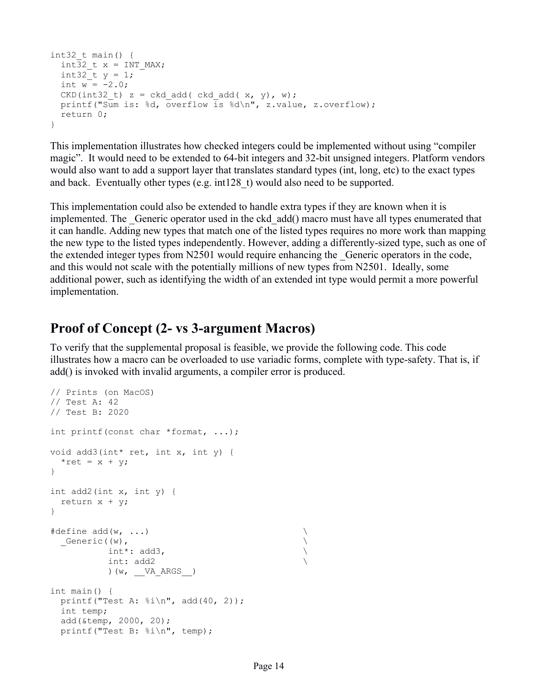```
int32 t main() {
 int32 t x = INT MAX;int32 t y = 1;
 int w = -2.0;
 CKD(int32 t) z = ckd add( ckd add( x, y, w);
 printf("Sum is: %d, overflow is %d\n", z.value, z.overflow);
  return 0;
}
```
This implementation illustrates how checked integers could be implemented without using "compiler magic". It would need to be extended to 64-bit integers and 32-bit unsigned integers. Platform vendors would also want to add a support layer that translates standard types (int, long, etc) to the exact types and back. Eventually other types (e.g.  $int128$  t) would also need to be supported.

This implementation could also be extended to handle extra types if they are known when it is implemented. The Generic operator used in the ckd add() macro must have all types enumerated that it can handle. Adding new types that match one of the listed types requires no more work than mapping the new type to the listed types independently. However, adding a differently-sized type, such as one of the extended integer types from N2501 would require enhancing the Generic operators in the code, and this would not scale with the potentially millions of new types from N2501. Ideally, some additional power, such as identifying the width of an extended int type would permit a more powerful implementation.

# **Proof of Concept (2- vs 3-argument Macros)**

To verify that the supplemental proposal is feasible, we provide the following code. This code illustrates how a macro can be overloaded to use variadic forms, complete with type-safety. That is, if add() is invoked with invalid arguments, a compiler error is produced.

```
// Prints (on MacOS)
// Test A: 42
// Test B: 2020
int printf(const char *format, ...);
void add3(int* ret, int x, int y) {
 *ret = x + y;
}
int add2(int x, int y) {
 return x + y;
}
#define add(w, ...) \
 Generic((w),
          int^*: add3,
          int: add2 \
         ) (w, VA<sub>A</sub>RGS )
int main() {
 printf("Test A: \frac{\sinh \pi}{\sinh \pi}, add(40, 2));
  int temp;
  add(&temp, 2000, 20);
  printf("Test B: %i\n", temp);
```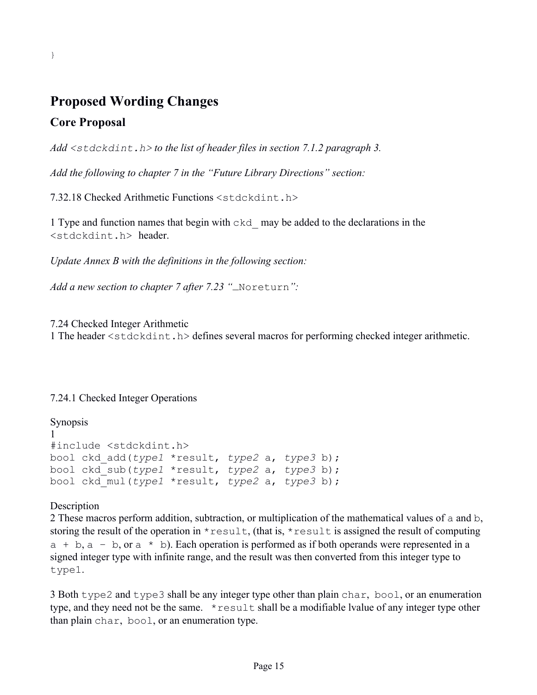# **Proposed Wording Changes**

### **Core Proposal**

}

*Add <stdckdint.h> to the list of header files in section 7.1.2 paragraph 3.*

*Add the following to chapter 7 in the "Future Library Directions" section:*

7.32.18 Checked Arithmetic Functions <stdckdint.h>

1 Type and function names that begin with ckd\_ may be added to the declarations in the <stdckdint.h> header.

*Update Annex B with the definitions in the following section:* 

*Add a new section to chapter 7 after 7.23 "*\_Noreturn*":*

7.24 Checked Integer Arithmetic

1 The header <stdckdint.h> defines several macros for performing checked integer arithmetic.

#### 7.24.1 Checked Integer Operations

```
Synopsis
1 
#include <stdckdint.h>
bool ckd_add(type1 *result, type2 a, type3 b);
bool ckd_sub(type1 *result, type2 a, type3 b);
bool ckd_mul(type1 *result, type2 a, type3 b);
```
Description

2 These macros perform addition, subtraction, or multiplication of the mathematical values of a and b, storing the result of the operation in  $*$  result, (that is,  $*$  result is assigned the result of computing  $a + b$ ,  $a - b$ , or  $a * b$ ). Each operation is performed as if both operands were represented in a signed integer type with infinite range, and the result was then converted from this integer type to type1.

3 Both type2 and type3 shall be any integer type other than plain char, bool, or an enumeration type, and they need not be the same. \* result shall be a modifiable lvalue of any integer type other than plain char, bool, or an enumeration type.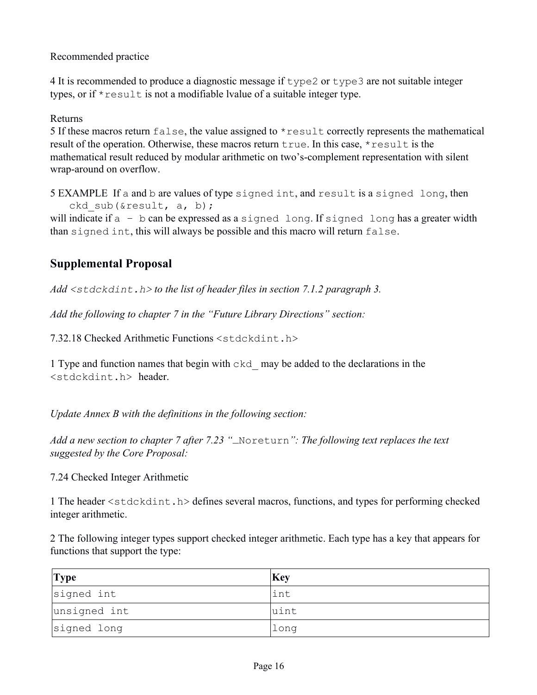Recommended practice

4 It is recommended to produce a diagnostic message if type2 or type3 are not suitable integer types, or if  $*$  result is not a modifiable lyalue of a suitable integer type.

#### Returns

5 If these macros return false, the value assigned to  $*$  result correctly represents the mathematical result of the operation. Otherwise, these macros return true. In this case, \*result is the mathematical result reduced by modular arithmetic on two's-complement representation with silent wrap-around on overflow.

5 EXAMPLE If a and b are values of type signed int, and result is a signed long, then ckd sub(&result, a, b);

will indicate if  $a - b$  can be expressed as a signed long. If signed long has a greater width than signed int, this will always be possible and this macro will return false.

# **Supplemental Proposal**

*Add <stdckdint.h> to the list of header files in section 7.1.2 paragraph 3.*

*Add the following to chapter 7 in the "Future Library Directions" section:*

7.32.18 Checked Arithmetic Functions <stdckdint.h>

1 Type and function names that begin with ckd\_ may be added to the declarations in the <stdckdint.h> header.

*Update Annex B with the definitions in the following section:*

*Add a new section to chapter 7 after 7.23 "*\_Noreturn*": The following text replaces the text suggested by the Core Proposal:*

#### 7.24 Checked Integer Arithmetic

1 The header <stdckdint.h> defines several macros, functions, and types for performing checked integer arithmetic.

2 The following integer types support checked integer arithmetic. Each type has a key that appears for functions that support the type:

| <b>Type</b>  | <b>Key</b> |
|--------------|------------|
| signed int   | int        |
| unsigned int | uint       |
| signed long  | long       |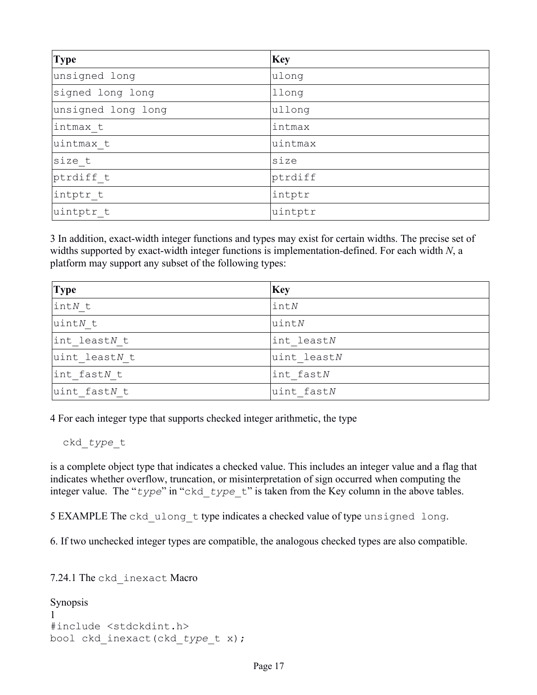| <b>Type</b>        | <b>Key</b> |
|--------------------|------------|
| unsigned long      | ulong      |
| signed long long   | llong      |
| unsigned long long | ullong     |
| intmax t           | intmax     |
| uintmax t          | uintmax    |
| size t             | size       |
| ptrdiff t          | ptrdiff    |
| intptr t           | intptr     |
| uintptr t          | uintptr    |

3 In addition, exact-width integer functions and types may exist for certain widths. The precise set of widths supported by exact-width integer functions is implementation-defined. For each width *N*, a platform may support any subset of the following types:

| <b>Type</b>     | Key           |
|-----------------|---------------|
| $\text{int}N$ t | $\text{int}N$ |
| uintN t         | $u$ int $N$   |
| int leastN t    | int leastN    |
| uint leastN t   | uint leastN   |
| int fastN t     | int fastN     |
| uint fastN t    | uint fastN    |

4 For each integer type that supports checked integer arithmetic, the type

ckd\_*type*\_t

is a complete object type that indicates a checked value. This includes an integer value and a flag that indicates whether overflow, truncation, or misinterpretation of sign occurred when computing the integer value. The "*type*" in "ckd\_*type*\_t" is taken from the Key column in the above tables.

5 EXAMPLE The ckd ulong t type indicates a checked value of type unsigned long.

6. If two unchecked integer types are compatible, the analogous checked types are also compatible.

```
7.24.1 The ckd_inexact Macro
```

```
Synopsis
1 
#include <stdckdint.h>
bool ckd_inexact(ckd_type_t x);
```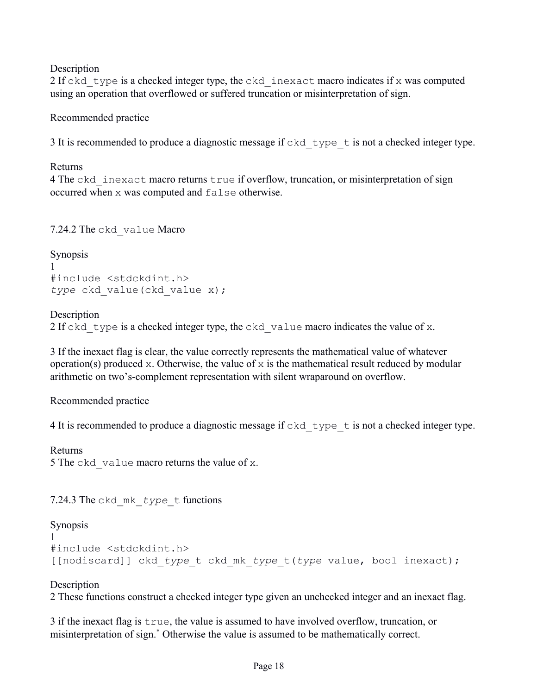**Description** 

2 If ckd type is a checked integer type, the ckd inexact macro indicates if x was computed using an operation that overflowed or suffered truncation or misinterpretation of sign.

Recommended practice

3 It is recommended to produce a diagnostic message if  $ckd$  type t is not a checked integer type.

Returns

4 The ckd inexact macro returns true if overflow, truncation, or misinterpretation of sign occurred when x was computed and false otherwise.

7.24.2 The ckd\_value Macro

```
Synopsis
1
#include <stdckdint.h>
type ckd value(ckd value x);
```
#### **Description**

2 If ckd type is a checked integer type, the ckd value macro indicates the value of x.

3 If the inexact flag is clear, the value correctly represents the mathematical value of whatever operation(s) produced x. Otherwise, the value of x is the mathematical result reduced by modular arithmetic on two's-complement representation with silent wraparound on overflow.

Recommended practice

4 It is recommended to produce a diagnostic message if ckd type t is not a checked integer type.

Returns 5 The ckd value macro returns the value of x.

7.24.3 The ckd\_mk\_*type*\_t functions

```
Synopsis
1 
#include <stdckdint.h>
[[nodiscard]] ckd_type_t ckd_mk_type_t(type value, bool inexact);
```
#### **Description**

2 These functions construct a checked integer type given an unchecked integer and an inexact flag.

3 if the inexact flag is true, the value is assumed to have involved overflow, truncation, or misinterpretation of sign.\* Otherwise the value is assumed to be mathematically correct.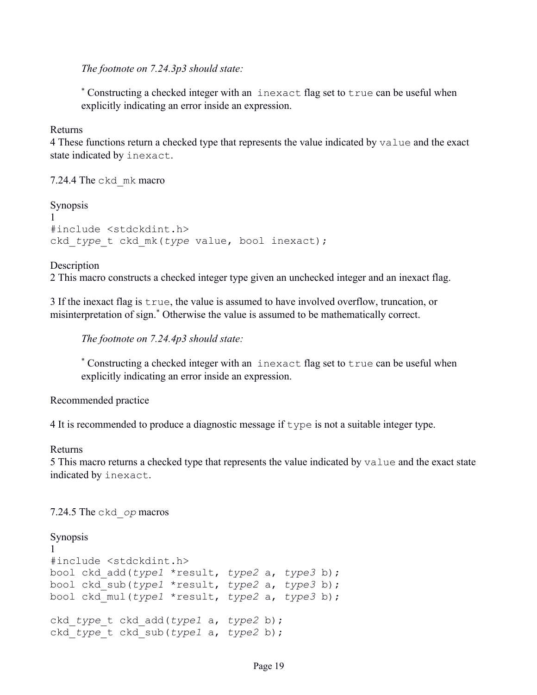*The footnote on 7.24.3p3 should state:*

\* Constructing a checked integer with an inexact flag set to true can be useful when explicitly indicating an error inside an expression.

Returns

4 These functions return a checked type that represents the value indicated by value and the exact state indicated by inexact.

7.24.4 The ckd\_mk macro

```
Synopsis
1 
#include <stdckdint.h>
ckd_type_t ckd_mk(type value, bool inexact);
```
Description

2 This macro constructs a checked integer type given an unchecked integer and an inexact flag.

3 If the inexact flag is true, the value is assumed to have involved overflow, truncation, or misinterpretation of sign.\* Otherwise the value is assumed to be mathematically correct.

*The footnote on 7.24.4p3 should state:*

\* Constructing a checked integer with an inexact flag set to true can be useful when explicitly indicating an error inside an expression.

Recommended practice

4 It is recommended to produce a diagnostic message if type is not a suitable integer type.

Returns

5 This macro returns a checked type that represents the value indicated by value and the exact state indicated by inexact.

7.24.5 The ckd\_*op* macros

```
Synopsis
1 
#include <stdckdint.h>
bool ckd_add(type1 *result, type2 a, type3 b);
bool ckd_sub(type1 *result, type2 a, type3 b);
bool ckd_mul(type1 *result, type2 a, type3 b);
ckd_type_t ckd_add(type1 a, type2 b);
ckd_type_t ckd_sub(type1 a, type2 b);
```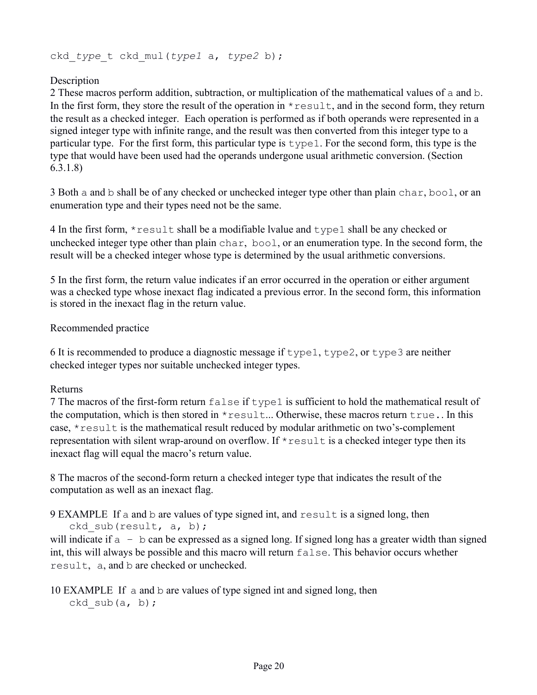ckd\_*type*\_t ckd\_mul(*type1* a, *type2* b);

#### **Description**

2 These macros perform addition, subtraction, or multiplication of the mathematical values of a and b. In the first form, they store the result of the operation in  $*$  result, and in the second form, they return the result as a checked integer. Each operation is performed as if both operands were represented in a signed integer type with infinite range, and the result was then converted from this integer type to a particular type. For the first form, this particular type is type1. For the second form, this type is the type that would have been used had the operands undergone usual arithmetic conversion. (Section 6.3.1.8)

3 Both a and b shall be of any checked or unchecked integer type other than plain char, bool, or an enumeration type and their types need not be the same.

4 In the first form,  $*$  result shall be a modifiable lyalue and type1 shall be any checked or unchecked integer type other than plain char, bool, or an enumeration type. In the second form, the result will be a checked integer whose type is determined by the usual arithmetic conversions.

5 In the first form, the return value indicates if an error occurred in the operation or either argument was a checked type whose inexact flag indicated a previous error. In the second form, this information is stored in the inexact flag in the return value.

#### Recommended practice

6 It is recommended to produce a diagnostic message if  $type1$ ,  $type2$ , or  $type3$  are neither checked integer types nor suitable unchecked integer types.

#### Returns

7 The macros of the first-form return false if type1 is sufficient to hold the mathematical result of the computation, which is then stored in  $*$  result... Otherwise, these macros return  $true$ . In this case, \*result is the mathematical result reduced by modular arithmetic on two's-complement representation with silent wrap-around on overflow. If  $*$  result is a checked integer type then its inexact flag will equal the macro's return value.

8 The macros of the second-form return a checked integer type that indicates the result of the computation as well as an inexact flag.

9 EXAMPLE If a and b are values of type signed int, and result is a signed long, then ckd sub(result,  $a, b$ );

will indicate if  $a - b$  can be expressed as a signed long. If signed long has a greater width than signed int, this will always be possible and this macro will return false. This behavior occurs whether result, a, and b are checked or unchecked.

#### 10 EXAMPLE If a and b are values of type signed int and signed long, then ckd sub $(a, b)$ ;